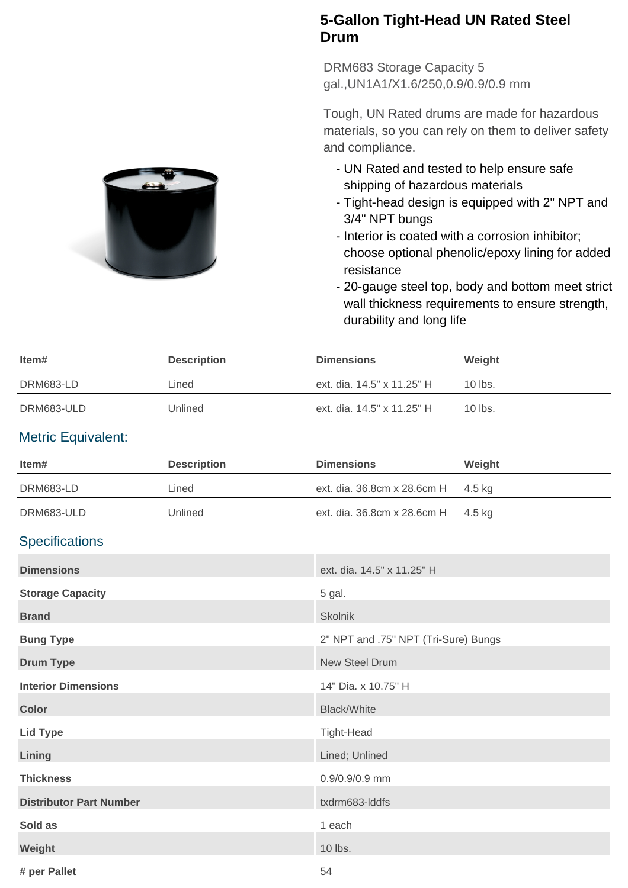## **5-Gallon Tight-Head UN Rated Steel Drum**

DRM683 Storage Capacity 5 gal.,UN1A1/X1.6/250,0.9/0.9/0.9 mm

Tough, UN Rated drums are made for hazardous materials, so you can rely on them to deliver safety and compliance.

- UN Rated and tested to help ensure safe shipping of hazardous materials
- Tight-head design is equipped with 2" NPT and 3/4" NPT bungs
- Interior is coated with a corrosion inhibitor; choose optional phenolic/epoxy lining for added resistance
- 20-gauge steel top, body and bottom meet strict wall thickness requirements to ensure strength, durability and long life

| ltem#      | <b>Description</b> | <b>Dimensions</b>          | Weight    |
|------------|--------------------|----------------------------|-----------|
| DRM683-LD  | Lined              | ext. dia. 14.5" x 11.25" H | $10$ lbs. |
| DRM683-ULD | Unlined            | ext. dia. 14.5" x 11.25" H | $10$ lbs. |

## Metric Equivalent:

| Item#                          | <b>Description</b> | <b>Dimensions</b>                    | Weight |
|--------------------------------|--------------------|--------------------------------------|--------|
| DRM683-LD                      | Lined              | ext. dia. 36.8cm x 28.6cm H          | 4.5 kg |
| DRM683-ULD                     | Unlined            | ext. dia. 36.8cm x 28.6cm H          | 4.5 kg |
| <b>Specifications</b>          |                    |                                      |        |
| <b>Dimensions</b>              |                    | ext. dia. 14.5" x 11.25" H           |        |
| <b>Storage Capacity</b>        |                    | 5 gal.                               |        |
| <b>Brand</b>                   |                    | <b>Skolnik</b>                       |        |
| <b>Bung Type</b>               |                    | 2" NPT and .75" NPT (Tri-Sure) Bungs |        |
| <b>Drum Type</b>               |                    | <b>New Steel Drum</b>                |        |
| <b>Interior Dimensions</b>     |                    | 14" Dia. x 10.75" H                  |        |
| <b>Color</b>                   |                    | <b>Black/White</b>                   |        |
| <b>Lid Type</b>                |                    | <b>Tight-Head</b>                    |        |
| Lining                         |                    | Lined; Unlined                       |        |
| <b>Thickness</b>               |                    | 0.9/0.9/0.9 mm                       |        |
| <b>Distributor Part Number</b> |                    | txdrm683-Iddfs                       |        |
| Sold as                        |                    | 1 each                               |        |
| Weight                         |                    | 10 lbs.                              |        |
| # per Pallet                   |                    | 54                                   |        |